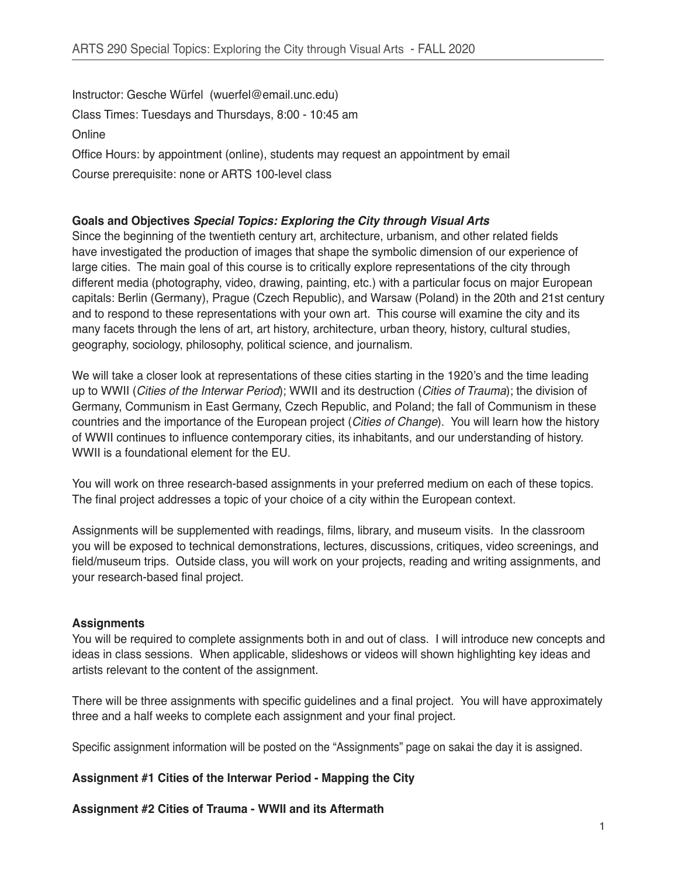Instructor: Gesche Würfel (wuerfel@email.unc.edu) Class Times: Tuesdays and Thursdays, 8:00 - 10:45 am **Online** Office Hours: by appointment (online), students may request an appointment by email Course prerequisite: none or ARTS 100-level class

## **Goals and Objectives** *Special Topics: Exploring the City through Visual Arts*

Since the beginning of the twentieth century art, architecture, urbanism, and other related fields have investigated the production of images that shape the symbolic dimension of our experience of large cities. The main goal of this course is to critically explore representations of the city through different media (photography, video, drawing, painting, etc.) with a particular focus on major European capitals: Berlin (Germany), Prague (Czech Republic), and Warsaw (Poland) in the 20th and 21st century and to respond to these representations with your own art. This course will examine the city and its many facets through the lens of art, art history, architecture, urban theory, history, cultural studies, geography, sociology, philosophy, political science, and journalism.

We will take a closer look at representations of these cities starting in the 1920's and the time leading up to WWII (*Cities of the Interwar Period*); WWII and its destruction (*Cities of Trauma*); the division of Germany, Communism in East Germany, Czech Republic, and Poland; the fall of Communism in these countries and the importance of the European project (*Cities of Change*). You will learn how the history of WWII continues to influence contemporary cities, its inhabitants, and our understanding of history. WWII is a foundational element for the EU.

You will work on three research-based assignments in your preferred medium on each of these topics. The final project addresses a topic of your choice of a city within the European context.

Assignments will be supplemented with readings, films, library, and museum visits. In the classroom you will be exposed to technical demonstrations, lectures, discussions, critiques, video screenings, and field/museum trips. Outside class, you will work on your projects, reading and writing assignments, and your research-based final project.

## **Assignments**

You will be required to complete assignments both in and out of class. I will introduce new concepts and ideas in class sessions. When applicable, slideshows or videos will shown highlighting key ideas and artists relevant to the content of the assignment.

There will be three assignments with specific guidelines and a final project. You will have approximately three and a half weeks to complete each assignment and your final project.

Specific assignment information will be posted on the "Assignments" page on sakai the day it is assigned.

## **Assignment #1 Cities of the Interwar Period - Mapping the City**

**Assignment #2 Cities of Trauma - WWII and its Aftermath**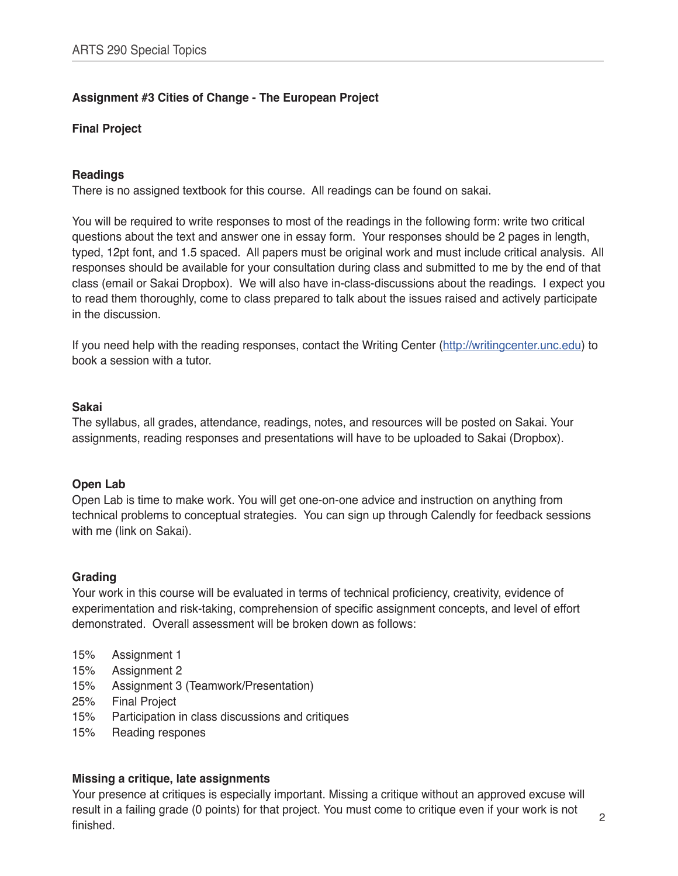# **Assignment #3 Cities of Change - The European Project**

#### **Final Project**

#### **Readings**

There is no assigned textbook for this course. All readings can be found on sakai.

You will be required to write responses to most of the readings in the following form: write two critical questions about the text and answer one in essay form. Your responses should be 2 pages in length, typed, 12pt font, and 1.5 spaced. All papers must be original work and must include critical analysis. All responses should be available for your consultation during class and submitted to me by the end of that class (email or Sakai Dropbox). We will also have in-class-discussions about the readings. I expect you to read them thoroughly, come to class prepared to talk about the issues raised and actively participate in the discussion.

If you need help with the reading responses, contact the Writing Center [\(http://writingcenter.unc.edu](http://writingcenter.unc.edu)) to book a session with a tutor.

#### **Sakai**

The syllabus, all grades, attendance, readings, notes, and resources will be posted on Sakai. Your assignments, reading responses and presentations will have to be uploaded to Sakai (Dropbox).

#### **Open Lab**

Open Lab is time to make work. You will get one-on-one advice and instruction on anything from technical problems to conceptual strategies. You can sign up through Calendly for feedback sessions with me (link on Sakai).

#### **Grading**

Your work in this course will be evaluated in terms of technical proficiency, creativity, evidence of experimentation and risk-taking, comprehension of specific assignment concepts, and level of effort demonstrated. Overall assessment will be broken down as follows:

- 15% Assignment 1
- 15% Assignment 2
- 15% Assignment 3 (Teamwork/Presentation)
- 25% Final Project
- 15% Participation in class discussions and critiques
- 15% Reading respones

#### **Missing a critique, late assignments**

Your presence at critiques is especially important. Missing a critique without an approved excuse will result in a failing grade (0 points) for that project. You must come to critique even if your work is not finished.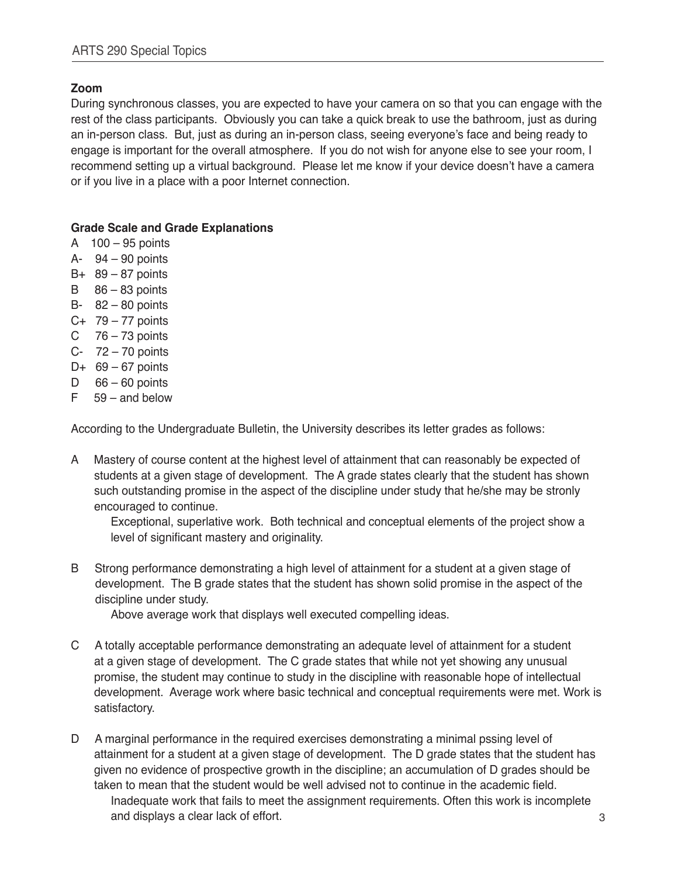# **Zoom**

During synchronous classes, you are expected to have your camera on so that you can engage with the rest of the class participants. Obviously you can take a quick break to use the bathroom, just as during an in-person class. But, just as during an in-person class, seeing everyone's face and being ready to engage is important for the overall atmosphere. If you do not wish for anyone else to see your room, I recommend setting up a virtual background. Please let me know if your device doesn't have a camera or if you live in a place with a poor Internet connection.

# **Grade Scale and Grade Explanations**

- A 100 95 points
- A- 94 90 points
- $B+ 89-87$  points
- $B = 86 83$  points
- B- 82 80 points
- C+ 79 77 points
- C  $76 73$  points
- C- 72 70 points
- D+  $69 67$  points
- D  $66 60$  points
- F 59 and below

According to the Undergraduate Bulletin, the University describes its letter grades as follows:

A Mastery of course content at the highest level of attainment that can reasonably be expected of students at a given stage of development. The A grade states clearly that the student has shown such outstanding promise in the aspect of the discipline under study that he/she may be stronly encouraged to continue.

Exceptional, superlative work. Both technical and conceptual elements of the project show a level of significant mastery and originality.

B Strong performance demonstrating a high level of attainment for a student at a given stage of development. The B grade states that the student has shown solid promise in the aspect of the discipline under study.

Above average work that displays well executed compelling ideas.

- C A totally acceptable performance demonstrating an adequate level of attainment for a student at a given stage of development. The C grade states that while not yet showing any unusual promise, the student may continue to study in the discipline with reasonable hope of intellectual development. Average work where basic technical and conceptual requirements were met. Work is satisfactory.
- D A marginal performance in the required exercises demonstrating a minimal pssing level of attainment for a student at a given stage of development. The D grade states that the student has given no evidence of prospective growth in the discipline; an accumulation of D grades should be taken to mean that the student would be well advised not to continue in the academic field. Inadequate work that fails to meet the assignment requirements. Often this work is incomplete and displays a clear lack of effort.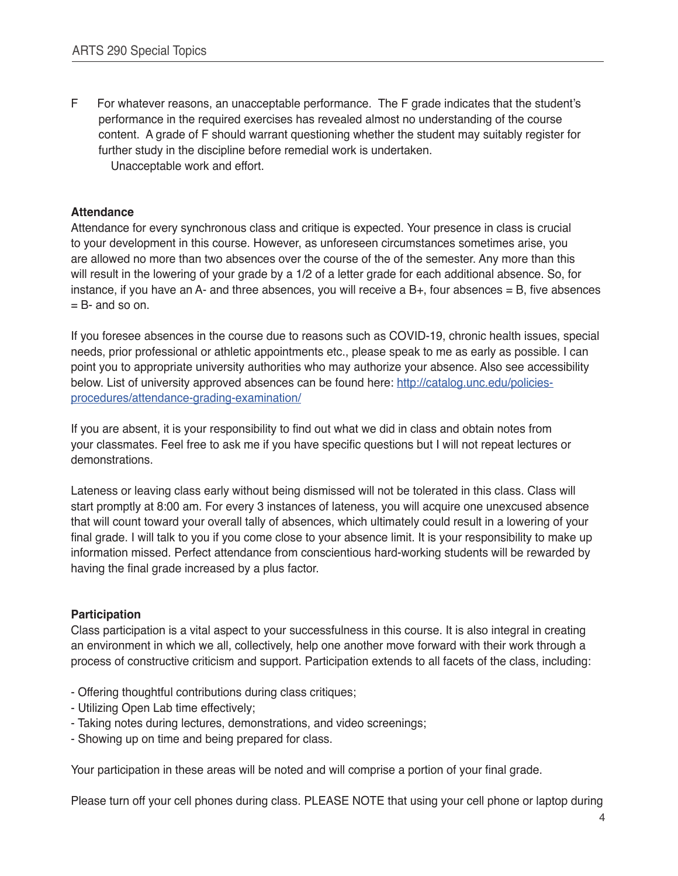F For whatever reasons, an unacceptable performance. The F grade indicates that the student's performance in the required exercises has revealed almost no understanding of the course content. A grade of F should warrant questioning whether the student may suitably register for further study in the discipline before remedial work is undertaken. Unacceptable work and effort.

# **Attendance**

Attendance for every synchronous class and critique is expected. Your presence in class is crucial to your development in this course. However, as unforeseen circumstances sometimes arise, you are allowed no more than two absences over the course of the of the semester. Any more than this will result in the lowering of your grade by a 1/2 of a letter grade for each additional absence. So, for instance, if you have an A- and three absences, you will receive a B+, four absences = B, five absences  $=$  B- and so on.

If you foresee absences in the course due to reasons such as COVID-19, chronic health issues, special needs, prior professional or athletic appointments etc., please speak to me as early as possible. I can point you to appropriate university authorities who may authorize your absence. Also see accessibility below. List of university approved absences can be found here: [http://catalog.unc.edu/policies](http://catalog.unc.edu/policies-procedures/attendance-grading-examination/)[procedures/attendance-grading-examination/](http://catalog.unc.edu/policies-procedures/attendance-grading-examination/)

If you are absent, it is your responsibility to find out what we did in class and obtain notes from your classmates. Feel free to ask me if you have specific questions but I will not repeat lectures or demonstrations.

Lateness or leaving class early without being dismissed will not be tolerated in this class. Class will start promptly at 8:00 am. For every 3 instances of lateness, you will acquire one unexcused absence that will count toward your overall tally of absences, which ultimately could result in a lowering of your final grade. I will talk to you if you come close to your absence limit. It is your responsibility to make up information missed. Perfect attendance from conscientious hard-working students will be rewarded by having the final grade increased by a plus factor.

## **Participation**

Class participation is a vital aspect to your successfulness in this course. It is also integral in creating an environment in which we all, collectively, help one another move forward with their work through a process of constructive criticism and support. Participation extends to all facets of the class, including:

- Offering thoughtful contributions during class critiques;
- Utilizing Open Lab time effectively;
- Taking notes during lectures, demonstrations, and video screenings;
- Showing up on time and being prepared for class.

Your participation in these areas will be noted and will comprise a portion of your final grade.

Please turn off your cell phones during class. PLEASE NOTE that using your cell phone or laptop during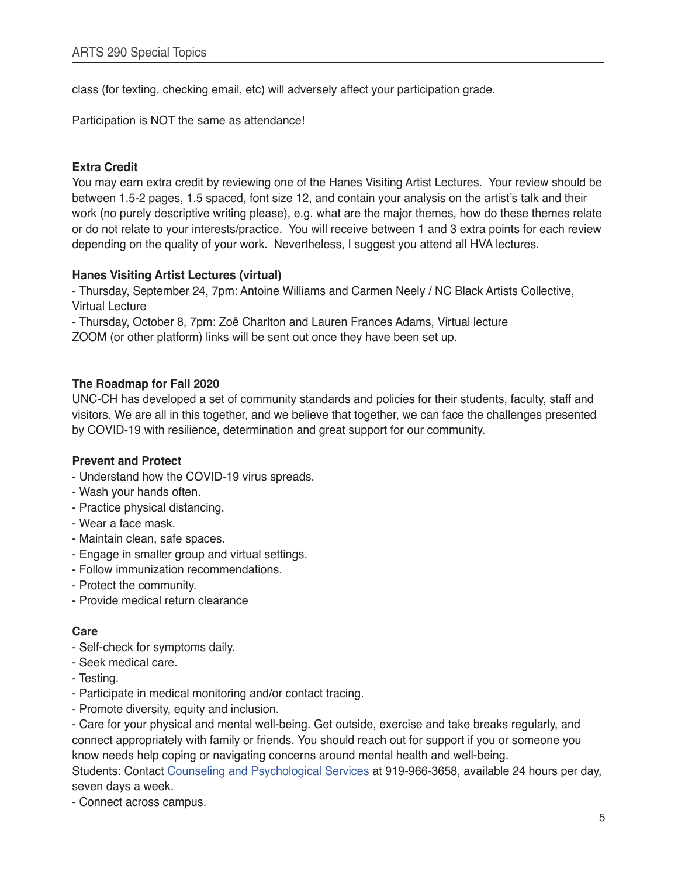class (for texting, checking email, etc) will adversely affect your participation grade.

Participation is NOT the same as attendance!

## **Extra Credit**

You may earn extra credit by reviewing one of the Hanes Visiting Artist Lectures. Your review should be between 1.5-2 pages, 1.5 spaced, font size 12, and contain your analysis on the artist's talk and their work (no purely descriptive writing please), e.g. what are the major themes, how do these themes relate or do not relate to your interests/practice. You will receive between 1 and 3 extra points for each review depending on the quality of your work. Nevertheless, I suggest you attend all HVA lectures.

#### **Hanes Visiting Artist Lectures (virtual)**

- Thursday, September 24, 7pm: Antoine Williams and Carmen Neely / NC Black Artists Collective, Virtual Lecture

- Thursday, October 8, 7pm: Zoë Charlton and Lauren Frances Adams, Virtual lecture

ZOOM (or other platform) links will be sent out once they have been set up.

#### **The Roadmap for Fall 2020**

UNC-CH has developed a set of community standards and policies for their students, faculty, staff and visitors. We are all in this together, and we believe that together, we can face the challenges presented by COVID-19 with resilience, determination and great support for our community.

## **Prevent and Protect**

- Understand how the COVID-19 virus spreads.
- Wash your hands often.
- Practice physical distancing.
- Wear a face mask.
- Maintain clean, safe spaces.
- Engage in smaller group and virtual settings.
- Follow immunization recommendations.
- Protect the community.
- Provide medical return clearance

#### **Care**

- Self-check for symptoms daily.
- Seek medical care.
- Testing.
- Participate in medical monitoring and/or contact tracing.
- Promote diversity, equity and inclusion.

- Care for your physical and mental well-being. Get outside, exercise and take breaks regularly, and connect appropriately with family or friends. You should reach out for support if you or someone you know needs help coping or navigating concerns around mental health and well-being. Students: Contact [Counseling and Psychological Services](https://caps.unc.edu) at 919-966-3658, available 24 hours per day, seven days a week.

- Connect across campus.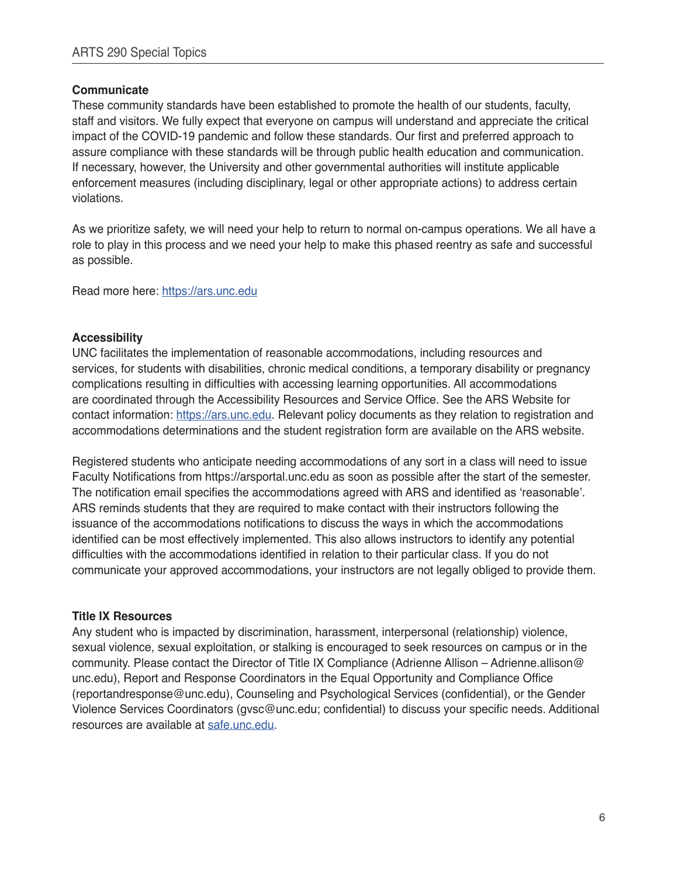# **Communicate**

These community standards have been established to promote the health of our students, faculty, staff and visitors. We fully expect that everyone on campus will understand and appreciate the critical impact of the COVID-19 pandemic and follow these standards. Our first and preferred approach to assure compliance with these standards will be through public health education and communication. If necessary, however, the University and other governmental authorities will institute applicable enforcement measures (including disciplinary, legal or other appropriate actions) to address certain violations.

As we prioritize safety, we will need your help to return to normal on-campus operations. We all have a role to play in this process and we need your help to make this phased reentry as safe and successful as possible.

Read more here: <https://ars.unc.edu>

## **Accessibility**

UNC facilitates the implementation of reasonable accommodations, including resources and services, for students with disabilities, chronic medical conditions, a temporary disability or pregnancy complications resulting in difficulties with accessing learning opportunities. All accommodations are coordinated through the Accessibility Resources and Service Office. See the ARS Website for contact information: <https://ars.unc.edu>. Relevant policy documents as they relation to registration and accommodations determinations and the student registration form are available on the ARS website.

Registered students who anticipate needing accommodations of any sort in a class will need to issue Faculty Notifications from https://arsportal.unc.edu as soon as possible after the start of the semester. The notification email specifies the accommodations agreed with ARS and identified as 'reasonable'. ARS reminds students that they are required to make contact with their instructors following the issuance of the accommodations notifications to discuss the ways in which the accommodations identified can be most effectively implemented. This also allows instructors to identify any potential difficulties with the accommodations identified in relation to their particular class. If you do not communicate your approved accommodations, your instructors are not legally obliged to provide them.

## **Title IX Resources**

Any student who is impacted by discrimination, harassment, interpersonal (relationship) violence, sexual violence, sexual exploitation, or stalking is encouraged to seek resources on campus or in the community. Please contact the Director of Title IX Compliance (Adrienne Allison – Adrienne.allison@ unc.edu), Report and Response Coordinators in the Equal Opportunity and Compliance Office (reportandresponse@unc.edu), Counseling and Psychological Services (confidential), or the Gender Violence Services Coordinators (gvsc@unc.edu; confidential) to discuss your specific needs. Additional resources are available at [safe.unc.edu.](https://safe.unc.edu)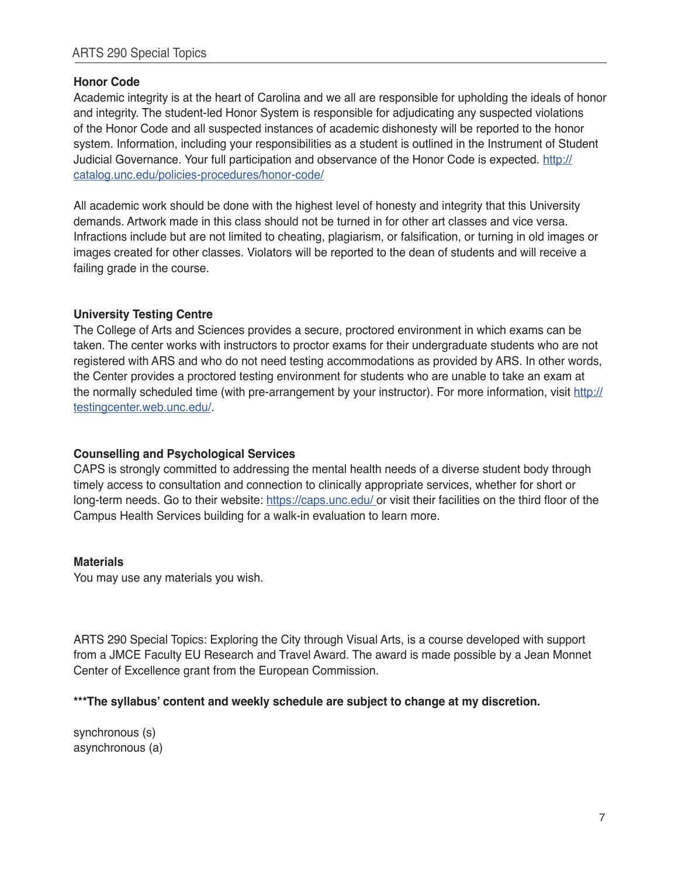# **Honor Code**

Academic integrity is at the heart of Carolina and we all are responsible for upholding the ideals of honor and integrity. The student-led Honor System is responsible for adjudicating any suspected violations of the Honor Code and all suspected instances of academic dishonesty will be reported to the honor system. Information, including your responsibilities as a student is outlined in the Instrument of Student Judicial Governance. Your full participation and observance of the Honor Code is expected. [http://](http://catalog.unc.edu/policies-procedures/honor-code/ ) [catalog.unc.edu/policies-procedures/honor-code/](http://catalog.unc.edu/policies-procedures/honor-code/ )

All academic work should be done with the highest level of honesty and integrity that this University demands. Artwork made in this class should not be turned in for other art classes and vice versa. Infractions include but are not limited to cheating, plagiarism, or falsification, or turning in old images or images created for other classes. Violators will be reported to the dean of students and will receive a failing grade in the course.

# **University Testing Centre**

The College of Arts and Sciences provides a secure, proctored environment in which exams can be taken. The center works with instructors to proctor exams for their undergraduate students who are not registered with ARS and who do not need testing accommodations as provided by ARS. In other words, the Center provides a proctored testing environment for students who are unable to take an exam at the normally scheduled time (with pre-arrangement by your instructor). For more information, visit [http://](http://testingcenter.web.unc.edu/) [testingcenter.web.unc.edu/](http://testingcenter.web.unc.edu/).

# **Counselling and Psychological Services**

CAPS is strongly committed to addressing the mental health needs of a diverse student body through timely access to consultation and connection to clinically appropriate services, whether for short or long-term needs. Go to their website: [https://caps.unc.edu/](https://caps.unc.edu/ ) or visit their facilities on the third floor of the Campus Health Services building for a walk-in evaluation to learn more.

## **Materials**

You may use any materials you wish.

ARTS 290 Special Topics: Exploring the City through Visual Arts, is a course developed with support from a JMCE Faculty EU Research and Travel Award. The award is made possible by a Jean Monnet Center of Excellence grant from the European Commission.

## **\*\*\*The syllabus' content and weekly schedule are subject to change at my discretion.**

synchronous (s) asynchronous (a)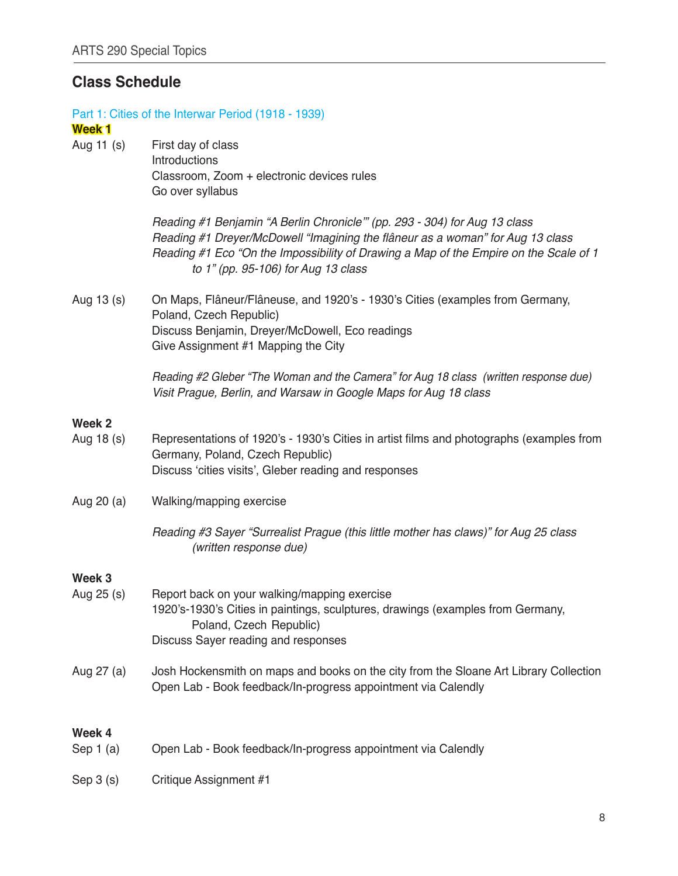# **Class Schedule**

| <b>Week1</b>         | Part 1: Cities of the Interwar Period (1918 - 1939)                                                                                                                                                                                                                                          |
|----------------------|----------------------------------------------------------------------------------------------------------------------------------------------------------------------------------------------------------------------------------------------------------------------------------------------|
| Aug 11 (s)           | First day of class<br>Introductions<br>Classroom, Zoom + electronic devices rules<br>Go over syllabus                                                                                                                                                                                        |
|                      | Reading #1 Benjamin "A Berlin Chronicle"" (pp. 293 - 304) for Aug 13 class<br>Reading #1 Dreyer/McDowell "Imagining the flâneur as a woman" for Aug 13 class<br>Reading #1 Eco "On the Impossibility of Drawing a Map of the Empire on the Scale of 1<br>to 1" (pp. 95-106) for Aug 13 class |
| Aug 13 (s)           | On Maps, Flâneur/Flâneuse, and 1920's - 1930's Cities (examples from Germany,<br>Poland, Czech Republic)<br>Discuss Benjamin, Dreyer/McDowell, Eco readings<br>Give Assignment #1 Mapping the City                                                                                           |
|                      | Reading #2 Gleber "The Woman and the Camera" for Aug 18 class (written response due)<br>Visit Prague, Berlin, and Warsaw in Google Maps for Aug 18 class                                                                                                                                     |
| Week 2               |                                                                                                                                                                                                                                                                                              |
| Aug 18 (s)           | Representations of 1920's - 1930's Cities in artist films and photographs (examples from<br>Germany, Poland, Czech Republic)<br>Discuss 'cities visits', Gleber reading and responses                                                                                                        |
| Aug 20 (a)           | Walking/mapping exercise                                                                                                                                                                                                                                                                     |
|                      | Reading #3 Sayer "Surrealist Prague (this little mother has claws)" for Aug 25 class<br>(written response due)                                                                                                                                                                               |
| Week 3               |                                                                                                                                                                                                                                                                                              |
| Aug 25 (s)           | Report back on your walking/mapping exercise<br>1920's-1930's Cities in paintings, sculptures, drawings (examples from Germany,<br>Poland, Czech Republic)<br>Discuss Sayer reading and responses                                                                                            |
| Aug 27 (a)           | Josh Hockensmith on maps and books on the city from the Sloane Art Library Collection<br>Open Lab - Book feedback/In-progress appointment via Calendly                                                                                                                                       |
|                      |                                                                                                                                                                                                                                                                                              |
| Week 4<br>Sep $1(a)$ | Open Lab - Book feedback/In-progress appointment via Calendly                                                                                                                                                                                                                                |
| Sep $3(s)$           | Critique Assignment #1                                                                                                                                                                                                                                                                       |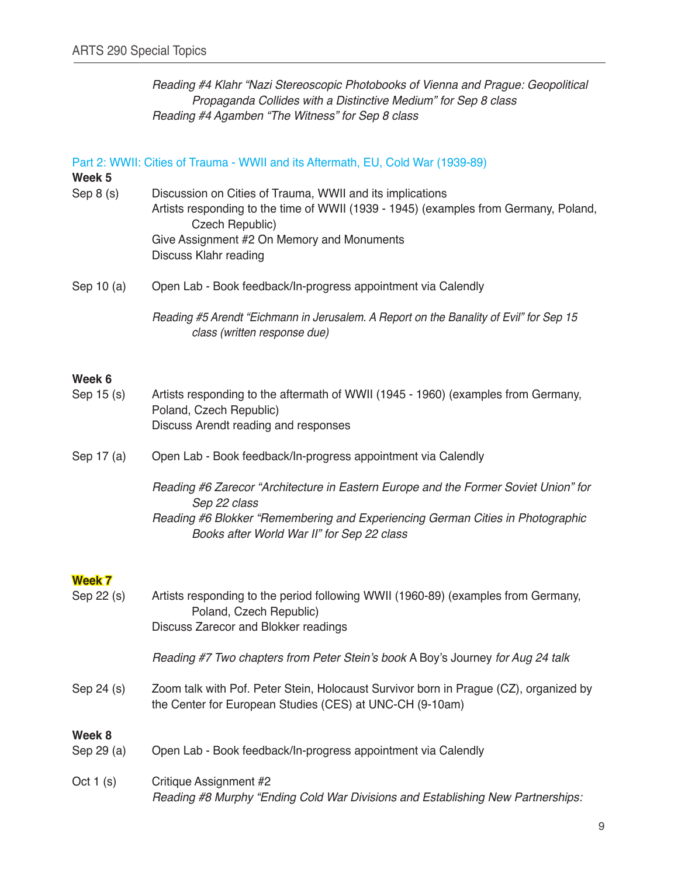Reading #4 Klahr "Nazi Stereoscopic Photobooks of Vienna and Prague: Geopolitical Propaganda Collides with a Distinctive Medium" for Sep 8 class Reading #4 Agamben "The Witness" for Sep 8 class

#### Part 2: WWII: Cities of Trauma - WWII and its Aftermath, EU, Cold War (1939-89)

**Week 5**

- Sep 8 (s) Discussion on Cities of Trauma, WWII and its implications Artists responding to the time of WWII (1939 - 1945) (examples from Germany, Poland, Czech Republic) Give Assignment #2 On Memory and Monuments Discuss Klahr reading
- Sep 10 (a) Open Lab Book feedback/In-progress appointment via Calendly

 Reading #5 Arendt "Eichmann in Jerusalem. A Report on the Banality of Evil" for Sep 15 class (written response due)

#### **Week 6**

- Sep 15 (s) Artists responding to the aftermath of WWII (1945 1960) (examples from Germany, Poland, Czech Republic) Discuss Arendt reading and responses
- Sep 17 (a) Open Lab Book feedback/In-progress appointment via Calendly
	- Reading #6 Zarecor "Architecture in Eastern Europe and the Former Soviet Union" for Sep 22 class Reading #6 Blokker "Remembering and Experiencing German Cities in Photographic Books after World War II" for Sep 22 class

#### **Week 7**

| Sep 22 (s)           | Artists responding to the period following WWII (1960-89) (examples from Germany,<br>Poland, Czech Republic)<br>Discuss Zarecor and Blokker readings |  |
|----------------------|------------------------------------------------------------------------------------------------------------------------------------------------------|--|
|                      | Reading #7 Two chapters from Peter Stein's book A Boy's Journey for Aug 24 talk                                                                      |  |
| Sep 24 (s)           | Zoom talk with Pof. Peter Stein, Holocaust Survivor born in Prague (CZ), organized by<br>the Center for European Studies (CES) at UNC-CH (9-10am)    |  |
| Week 8<br>Sep 29 (a) | Open Lab - Book feedback/In-progress appointment via Calendly                                                                                        |  |
| Oct $1(s)$           | Critique Assignment #2<br>Reading #8 Murphy "Ending Cold War Divisions and Establishing New Partnerships:                                            |  |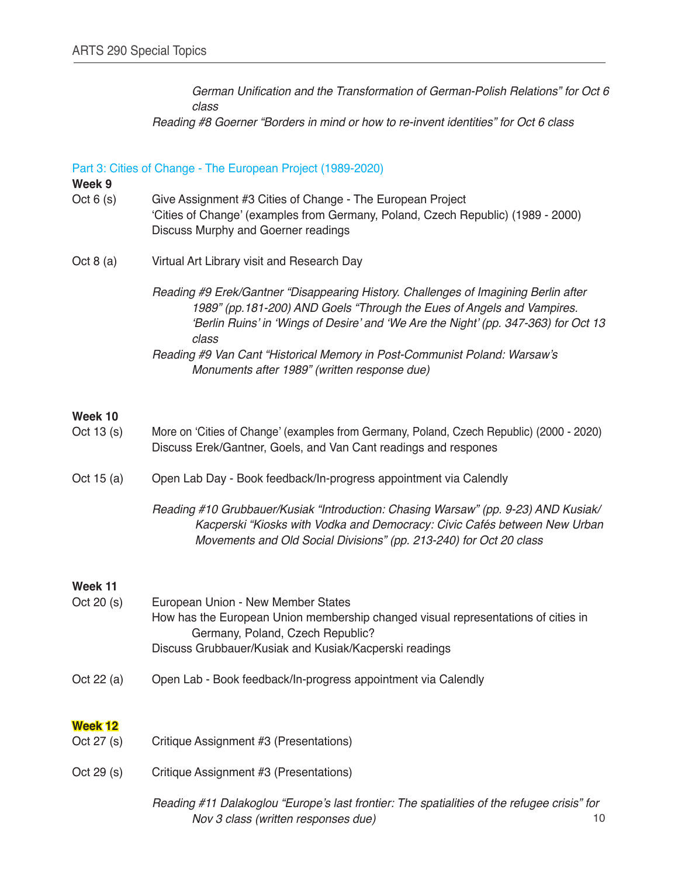German Unification and the Transformation of German-Polish Relations" for Oct 6  *class* Reading #8 Goerner "Borders in mind or how to re-invent identities" for Oct 6 class

#### Part 3: Cities of Change - The European Project (1989-2020)

#### **Week 9**

- Oct 6 (s) Give Assignment #3 Cities of Change The European Project 'Cities of Change' (examples from Germany, Poland, Czech Republic) (1989 - 2000) Discuss Murphy and Goerner readings
- Oct 8 (a) Virtual Art Library visit and Research Day
	- Reading #9 Erek/Gantner "Disappearing History. Challenges of Imagining Berlin after 1989" (pp.181-200) AND Goels "Through the Eues of Angels and Vampires. 'Berlin Ruins' in 'Wings of Desire' and 'We Are the Night' (pp. 347-363) for Oct 13  *class* Reading #9 Van Cant "Historical Memory in Post-Communist Poland: Warsaw's Monuments after 1989" (written response due)

#### **Week 10**

| Oct $13(s)$  | More on 'Cities of Change' (examples from Germany, Poland, Czech Republic) (2000 - 2020)<br>Discuss Erek/Gantner, Goels, and Van Cant readings and respones                                                                           |
|--------------|---------------------------------------------------------------------------------------------------------------------------------------------------------------------------------------------------------------------------------------|
| Oct 15 $(a)$ | Open Lab Day - Book feedback/In-progress appointment via Calendly                                                                                                                                                                     |
|              | Reading #10 Grubbauer/Kusiak "Introduction: Chasing Warsaw" (pp. 9-23) AND Kusiak/<br>Kacperski "Kiosks with Vodka and Democracy: Civic Cafés between New Urban<br>Movements and Old Social Divisions" (pp. 213-240) for Oct 20 class |

#### **Week 11**

| Oct $20(s)$ | European Union - New Member States                                                |
|-------------|-----------------------------------------------------------------------------------|
|             | How has the European Union membership changed visual representations of cities in |
|             | Germany, Poland, Czech Republic?                                                  |
|             | Discuss Grubbauer/Kusiak and Kusiak/Kacperski readings                            |

Oct 22 (a) Open Lab - Book feedback/In-progress appointment via Calendly

## **Week 12**

- Oct 27 (s) Critique Assignment #3 (Presentations)
- Oct 29 (s) Critique Assignment #3 (Presentations)

Reading #11 Dalakoglou "Europe's last frontier: The spatialities of the refugee crisis" for Nov 3 class (written responses due) 10